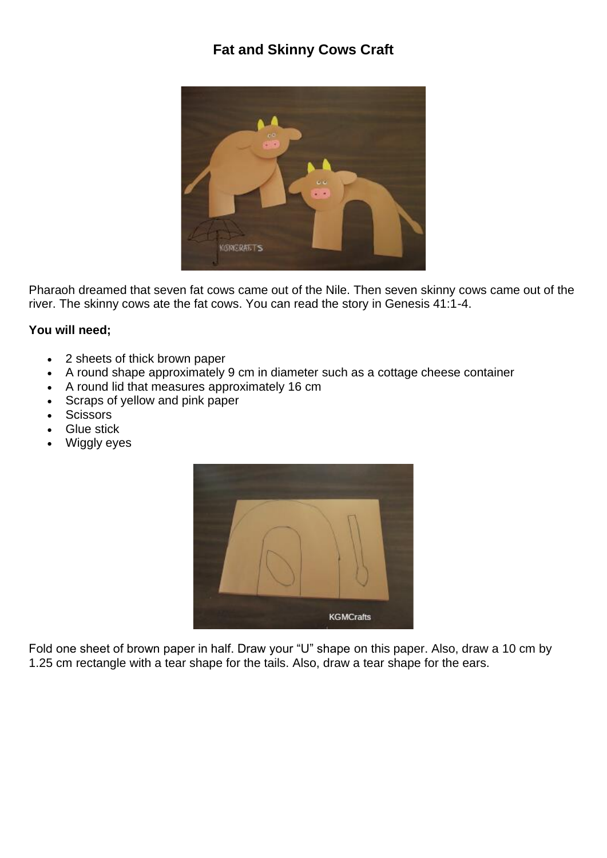## **Fat and Skinny Cows Craft**



Pharaoh dreamed that seven fat cows came out of the Nile. Then seven skinny cows came out of the river. The skinny cows ate the fat cows. You can read the story in Genesis 41:1-4.

## **You will need;**

- 2 sheets of thick brown paper
- A round shape approximately 9 cm in diameter such as a cottage cheese container
- A round lid that measures approximately 16 cm
- Scraps of yellow and pink paper
- Scissors
- **Glue stick**
- Wiggly eyes



Fold one sheet of brown paper in half. Draw your "U" shape on this paper. Also, draw a 10 cm by 1.25 cm rectangle with a tear shape for the tails. Also, draw a tear shape for the ears.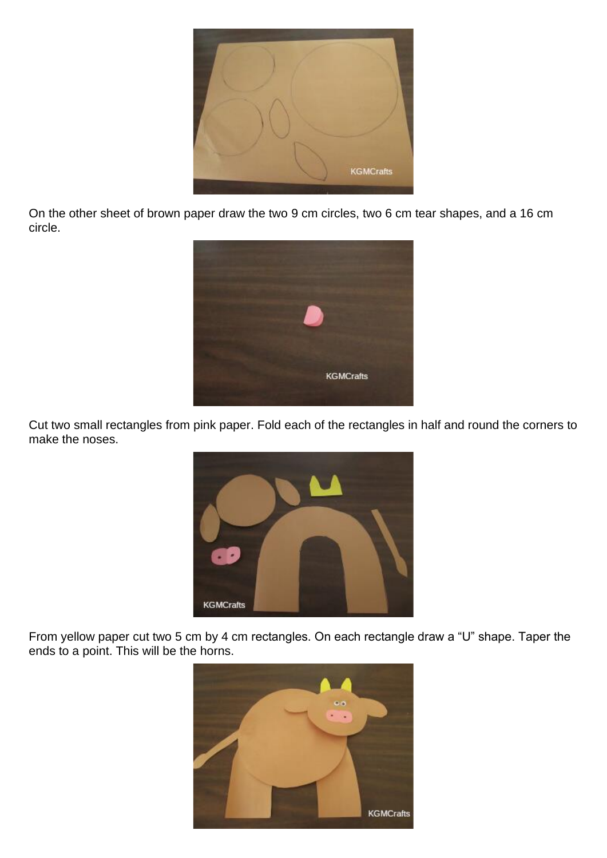

On the other sheet of brown paper draw the two 9 cm circles, two 6 cm tear shapes, and a 16 cm circle.



Cut two small rectangles from pink paper. Fold each of the rectangles in half and round the corners to make the noses.



From yellow paper cut two 5 cm by 4 cm rectangles. On each rectangle draw a "U" shape. Taper the ends to a point. This will be the horns.